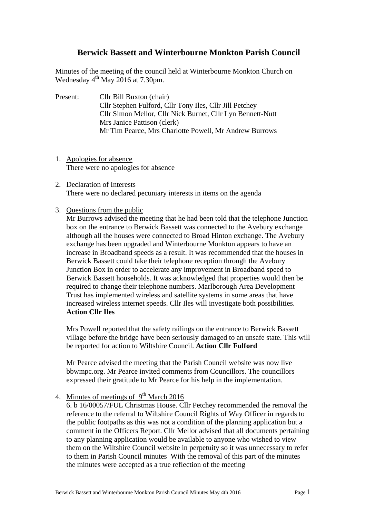# **Berwick Bassett and Winterbourne Monkton Parish Council**

Minutes of the meeting of the council held at Winterbourne Monkton Church on Wednesday  $4<sup>th</sup>$  May 2016 at 7.30pm.

- Present: Cllr Bill Buxton (chair) Cllr Stephen Fulford, Cllr Tony Iles, Cllr Jill Petchey Cllr Simon Mellor, Cllr Nick Burnet, Cllr Lyn Bennett-Nutt Mrs Janice Pattison (clerk) Mr Tim Pearce, Mrs Charlotte Powell, Mr Andrew Burrows
- 1. Apologies for absence There were no apologies for absence
- 2. Declaration of Interests There were no declared pecuniary interests in items on the agenda
- 3. Questions from the public

Mr Burrows advised the meeting that he had been told that the telephone Junction box on the entrance to Berwick Bassett was connected to the Avebury exchange although all the houses were connected to Broad Hinton exchange. The Avebury exchange has been upgraded and Winterbourne Monkton appears to have an increase in Broadband speeds as a result. It was recommended that the houses in Berwick Bassett could take their telephone reception through the Avebury Junction Box in order to accelerate any improvement in Broadband speed to Berwick Bassett households. It was acknowledged that properties would then be required to change their telephone numbers. Marlborough Area Development Trust has implemented wireless and satellite systems in some areas that have increased wireless internet speeds. Cllr Iles will investigate both possibilities. **Action Cllr Iles**

Mrs Powell reported that the safety railings on the entrance to Berwick Bassett village before the bridge have been seriously damaged to an unsafe state. This will be reported for action to Wiltshire Council. **Action Cllr Fulford**

Mr Pearce advised the meeting that the Parish Council website was now live bbwmpc.org. Mr Pearce invited comments from Councillors. The councillors expressed their gratitude to Mr Pearce for his help in the implementation.

4. Minutes of meetings of  $9<sup>th</sup>$  March 2016

6. b 16/00057/FUL Christmas House. Cllr Petchey recommended the removal the reference to the referral to Wiltshire Council Rights of Way Officer in regards to the public footpaths as this was not a condition of the planning application but a comment in the Officers Report. Cllr Mellor advised that all documents pertaining to any planning application would be available to anyone who wished to view them on the Wiltshire Council website in perpetuity so it was unnecessary to refer to them in Parish Council minutes With the removal of this part of the minutes the minutes were accepted as a true reflection of the meeting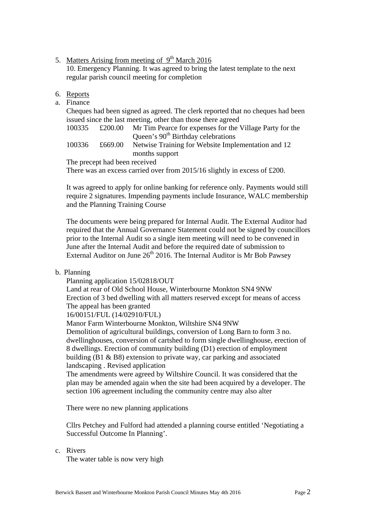- 5. Matters Arising from meeting of  $9<sup>th</sup>$  March 2016 10. Emergency Planning. It was agreed to bring the latest template to the next regular parish council meeting for completion
- 6. Reports
- a. Finance

Cheques had been signed as agreed. The clerk reported that no cheques had been issued since the last meeting, other than those there agreed

| 100335 | £200.00 | Mr Tim Pearce for expenses for the Village Party for the |
|--------|---------|----------------------------------------------------------|
|        |         | Queen's 90 <sup>th</sup> Birthday celebrations           |
| 100336 | £669.00 | Netwise Training for Website Implementation and 12       |

months support The precept had been received

There was an excess carried over from 2015/16 slightly in excess of £200.

It was agreed to apply for online banking for reference only. Payments would still require 2 signatures. Impending payments include Insurance, WALC membership and the Planning Training Course

The documents were being prepared for Internal Audit. The External Auditor had required that the Annual Governance Statement could not be signed by councillors prior to the Internal Audit so a single item meeting will need to be convened in June after the Internal Audit and before the required date of submission to External Auditor on June  $26<sup>th</sup>$  2016. The Internal Auditor is Mr Bob Pawsey

#### b. Planning

Planning application 15/02818/OUT

Land at rear of Old School House, Winterbourne Monkton SN4 9NW Erection of 3 bed dwelling with all matters reserved except for means of access The appeal has been granted

16/00151/FUL (14/02910/FUL)

Manor Farm Winterbourne Monkton, Wiltshire SN4 9NW

Demolition of agricultural buildings, conversion of Long Barn to form 3 no. dwellinghouses, conversion of cartshed to form single dwellinghouse, erection of 8 dwellings. Erection of community building (D1) erection of employment building (B1 & B8) extension to private way, car parking and associated landscaping . Revised application

The amendments were agreed by Wiltshire Council. It was considered that the plan may be amended again when the site had been acquired by a developer. The section 106 agreement including the community centre may also alter

There were no new planning applications

Cllrs Petchey and Fulford had attended a planning course entitled 'Negotiating a Successful Outcome In Planning'.

c. Rivers

The water table is now very high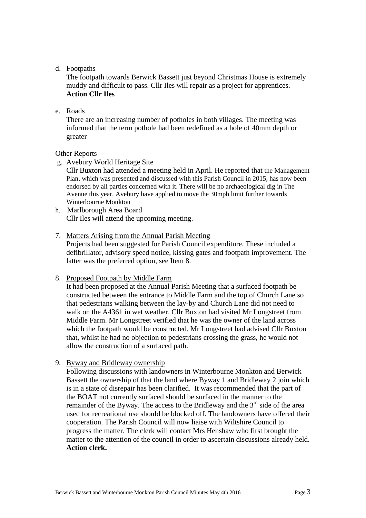## d. Footpaths

The footpath towards Berwick Bassett just beyond Christmas House is extremely muddy and difficult to pass. Cllr Iles will repair as a project for apprentices. **Action Cllr Iles**

# e. Roads

There are an increasing number of potholes in both villages. The meeting was informed that the term pothole had been redefined as a hole of 40mm depth or greater

## Other Reports

g. Avebury World Heritage Site

 Cllr Buxton had attended a meeting held in April. He reported that the Management Plan, which was presented and discussed with this Parish Council in 2015, has now been endorsed by all parties concerned with it. There will be no archaeological dig in The Avenue this year. Avebury have applied to move the 30mph limit further towards Winterbourne Monkton

- h. Marlborough Area Board Cllr Iles will attend the upcoming meeting.
- 7. Matters Arising from the Annual Parish Meeting

Projects had been suggested for Parish Council expenditure. These included a defibrillator, advisory speed notice, kissing gates and footpath improvement. The latter was the preferred option, see Item 8.

8. Proposed Footpath by Middle Farm

It had been proposed at the Annual Parish Meeting that a surfaced footpath be constructed between the entrance to Middle Farm and the top of Church Lane so that pedestrians walking between the lay-by and Church Lane did not need to walk on the A4361 in wet weather. Cllr Buxton had visited Mr Longstreet from Middle Farm. Mr Longstreet verified that he was the owner of the land across which the footpath would be constructed. Mr Longstreet had advised Cllr Buxton that, whilst he had no objection to pedestrians crossing the grass, he would not allow the construction of a surfaced path.

9. Byway and Bridleway ownership

Following discussions with landowners in Winterbourne Monkton and Berwick Bassett the ownership of that the land where Byway 1 and Bridleway 2 join which is in a state of disrepair has been clarified. It was recommended that the part of the BOAT not currently surfaced should be surfaced in the manner to the remainder of the Byway. The access to the Bridleway and the  $3<sup>rd</sup>$  side of the area used for recreational use should be blocked off. The landowners have offered their cooperation. The Parish Council will now liaise with Wiltshire Council to progress the matter. The clerk will contact Mrs Henshaw who first brought the matter to the attention of the council in order to ascertain discussions already held. **Action clerk.**